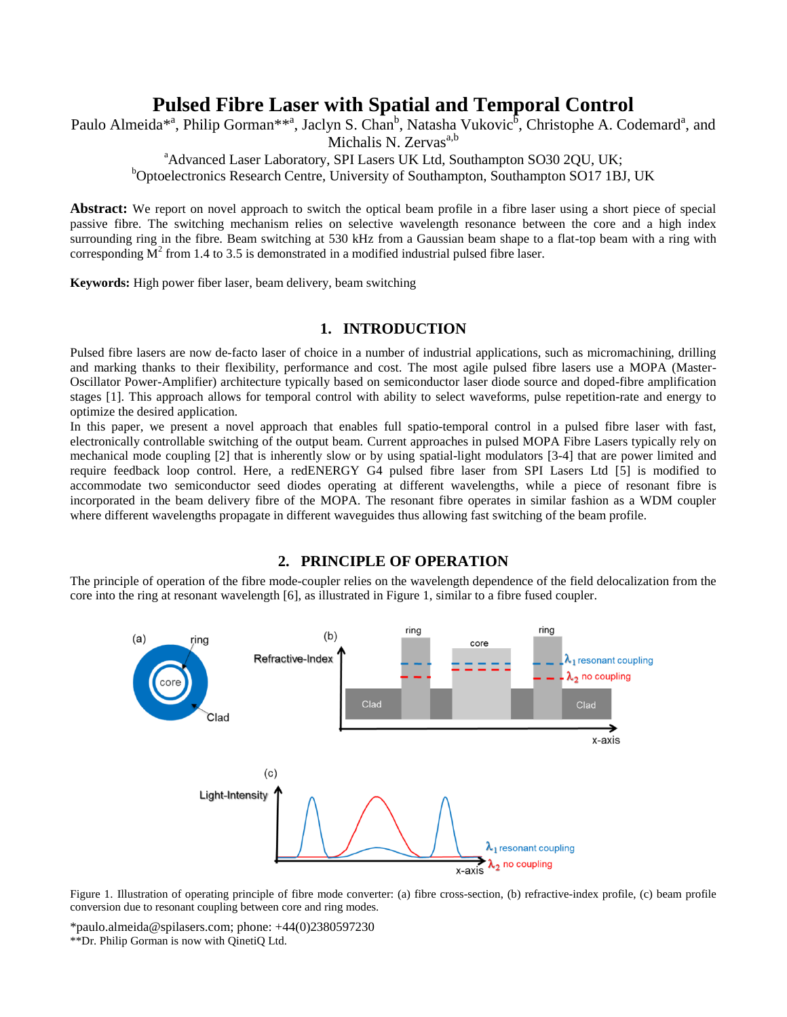# **Pulsed Fibre Laser with Spatial and Temporal Control**

Paulo Almeida<sup>\*a</sup>, Philip Gorman<sup>\*\*a</sup>, Jaclyn S. Chan<sup>b</sup>, Natasha Vukovic<sup>6</sup>, Christophe A. Codemard<sup>a</sup>, and

Michalis N.  $Zervas<sup>a,b</sup>$ 

<sup>a</sup>Advanced Laser Laboratory, SPI Lasers UK Ltd, Southampton SO30 2QU, UK;

<sup>b</sup>Optoelectronics Research Centre, University of Southampton, Southampton SO17 1BJ, UK

**Abstract:** We report on novel approach to switch the optical beam profile in a fibre laser using a short piece of special passive fibre. The switching mechanism relies on selective wavelength resonance between the core and a high index surrounding ring in the fibre. Beam switching at 530 kHz from a Gaussian beam shape to a flat-top beam with a ring with corresponding  $M^2$  from 1.4 to 3.5 is demonstrated in a modified industrial pulsed fibre laser.

**Keywords:** High power fiber laser, beam delivery, beam switching

## **1. INTRODUCTION**

Pulsed fibre lasers are now de-facto laser of choice in a number of industrial applications, such as micromachining, drilling and marking thanks to their flexibility, performance and cost. The most agile pulsed fibre lasers use a MOPA (Master-Oscillator Power-Amplifier) architecture typically based on semiconductor laser diode source and doped-fibre amplification stages [1]. This approach allows for temporal control with ability to select waveforms, pulse repetition-rate and energy to optimize the desired application.

In this paper, we present a novel approach that enables full spatio-temporal control in a pulsed fibre laser with fast, electronically controllable switching of the output beam. Current approaches in pulsed MOPA Fibre Lasers typically rely on mechanical mode coupling [2] that is inherently slow or by using spatial-light modulators [3-4] that are power limited and require feedback loop control. Here, a redENERGY G4 pulsed fibre laser from SPI Lasers Ltd [5] is modified to accommodate two semiconductor seed diodes operating at different wavelengths, while a piece of resonant fibre is incorporated in the beam delivery fibre of the MOPA. The resonant fibre operates in similar fashion as a WDM coupler where different wavelengths propagate in different waveguides thus allowing fast switching of the beam profile.

## **2. PRINCIPLE OF OPERATION**

The principle of operation of the fibre mode-coupler relies on the wavelength dependence of the field delocalization from the core into the ring at resonant wavelength [6], as illustrated in Figure 1, similar to a fibre fused coupler.



Figure 1. Illustration of operating principle of fibre mode converter: (a) fibre cross-section, (b) refractive-index profile, (c) beam profile conversion due to resonant coupling between core and ring modes.

\*paulo.almeida@spilasers.com; phone: +44(0)2380597230

\*\*Dr. Philip Gorman is now with QinetiQ Ltd.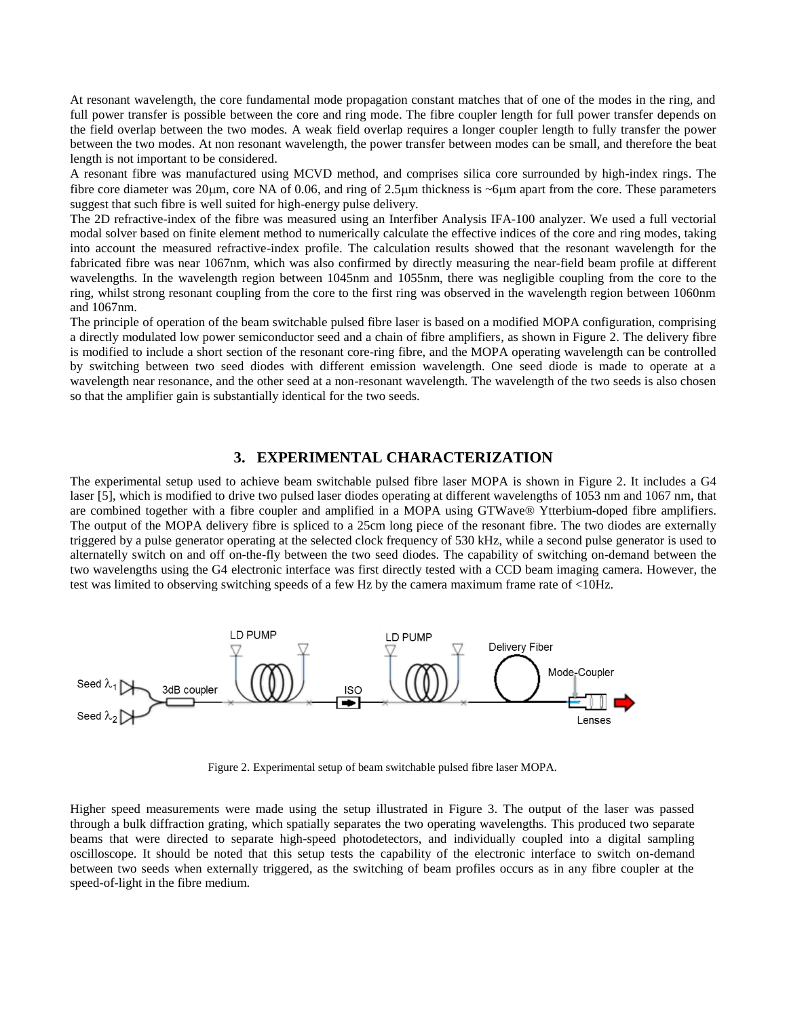At resonant wavelength, the core fundamental mode propagation constant matches that of one of the modes in the ring, and full power transfer is possible between the core and ring mode. The fibre coupler length for full power transfer depends on the field overlap between the two modes. A weak field overlap requires a longer coupler length to fully transfer the power between the two modes. At non resonant wavelength, the power transfer between modes can be small, and therefore the beat length is not important to be considered.

A resonant fibre was manufactured using MCVD method, and comprises silica core surrounded by high-index rings. The fibre core diameter was  $20\mu$ m, core NA of 0.06, and ring of  $2.5\mu$ m thickness is  $\sim$ 6 $\mu$ m apart from the core. These parameters suggest that such fibre is well suited for high-energy pulse delivery.

The 2D refractive-index of the fibre was measured using an Interfiber Analysis IFA-100 analyzer. We used a full vectorial modal solver based on finite element method to numerically calculate the effective indices of the core and ring modes, taking into account the measured refractive-index profile. The calculation results showed that the resonant wavelength for the fabricated fibre was near 1067nm, which was also confirmed by directly measuring the near-field beam profile at different wavelengths. In the wavelength region between 1045nm and 1055nm, there was negligible coupling from the core to the ring, whilst strong resonant coupling from the core to the first ring was observed in the wavelength region between 1060nm and 1067nm.

The principle of operation of the beam switchable pulsed fibre laser is based on a modified MOPA configuration, comprising a directly modulated low power semiconductor seed and a chain of fibre amplifiers, as shown in Figure 2. The delivery fibre is modified to include a short section of the resonant core-ring fibre, and the MOPA operating wavelength can be controlled by switching between two seed diodes with different emission wavelength. One seed diode is made to operate at a wavelength near resonance, and the other seed at a non-resonant wavelength. The wavelength of the two seeds is also chosen so that the amplifier gain is substantially identical for the two seeds.

### **3. EXPERIMENTAL CHARACTERIZATION**

The experimental setup used to achieve beam switchable pulsed fibre laser MOPA is shown in Figure 2. It includes a G4 laser [5], which is modified to drive two pulsed laser diodes operating at different wavelengths of 1053 nm and 1067 nm, that are combined together with a fibre coupler and amplified in a MOPA using GTWave® Ytterbium-doped fibre amplifiers. The output of the MOPA delivery fibre is spliced to a 25cm long piece of the resonant fibre. The two diodes are externally triggered by a pulse generator operating at the selected clock frequency of 530 kHz, while a second pulse generator is used to alternatelly switch on and off on-the-fly between the two seed diodes. The capability of switching on-demand between the two wavelengths using the G4 electronic interface was first directly tested with a CCD beam imaging camera. However, the test was limited to observing switching speeds of a few Hz by the camera maximum frame rate of <10Hz.



Figure 2. Experimental setup of beam switchable pulsed fibre laser MOPA.

Higher speed measurements were made using the setup illustrated in Figure 3. The output of the laser was passed through a bulk diffraction grating, which spatially separates the two operating wavelengths. This produced two separate beams that were directed to separate high-speed photodetectors, and individually coupled into a digital sampling oscilloscope. It should be noted that this setup tests the capability of the electronic interface to switch on-demand between two seeds when externally triggered, as the switching of beam profiles occurs as in any fibre coupler at the speed-of-light in the fibre medium.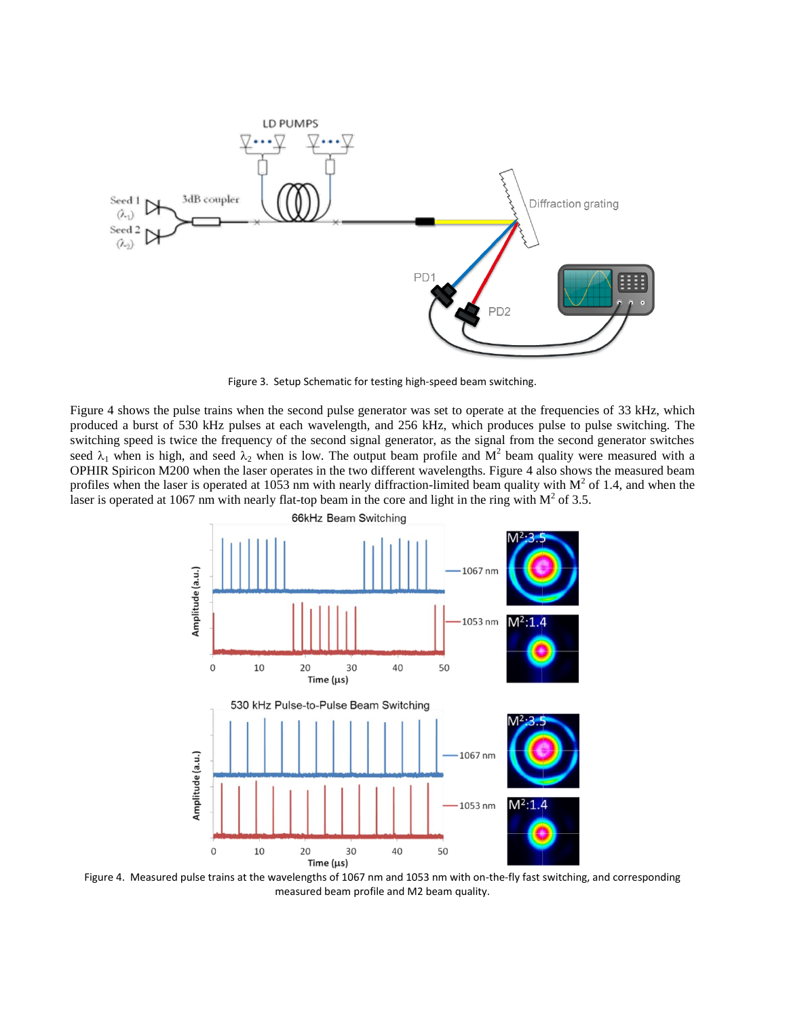

Figure 3. Setup Schematic for testing high-speed beam switching.

Figure 4 shows the pulse trains when the second pulse generator was set to operate at the frequencies of 33 kHz, which produced a burst of 530 kHz pulses at each wavelength, and 256 kHz, which produces pulse to pulse switching. The switching speed is twice the frequency of the second signal generator, as the signal from the second generator switches seed  $\lambda_1$  when is high, and seed  $\lambda_2$  when is low. The output beam profile and  $M^2$  beam quality were measured with a OPHIR Spiricon M200 when the laser operates in the two different wavelengths. Figure 4 also shows the measured beam profiles when the laser is operated at 1053 nm with nearly diffraction-limited beam quality with  $M^2$  of 1.4, and when the laser is operated at 1067 nm with nearly flat-top beam in the core and light in the ring with  $M^2$  of 3.5.



Figure 4. Measured pulse trains at the wavelengths of 1067 nm and 1053 nm with on-the-fly fast switching, and corresponding measured beam profile and M2 beam quality.